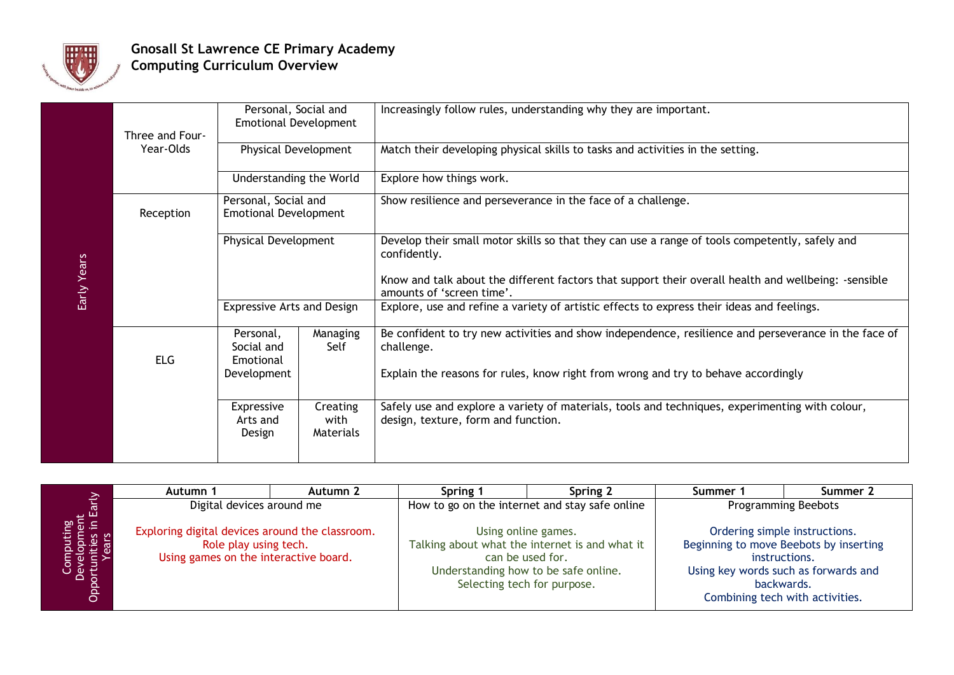

## **Gnosall St Lawrence CE Primary Academy Computing Curriculum Overview**

|             | Three and Four-<br>Year-Olds | Personal, Social and<br><b>Emotional Development</b> |                               | Increasingly follow rules, understanding why they are important.                                                                       |
|-------------|------------------------------|------------------------------------------------------|-------------------------------|----------------------------------------------------------------------------------------------------------------------------------------|
|             |                              | Physical Development                                 |                               | Match their developing physical skills to tasks and activities in the setting.                                                         |
|             |                              | Understanding the World                              |                               | Explore how things work.                                                                                                               |
|             | Reception                    | Personal, Social and<br><b>Emotional Development</b> |                               | Show resilience and perseverance in the face of a challenge.                                                                           |
|             |                              | <b>Physical Development</b>                          |                               | Develop their small motor skills so that they can use a range of tools competently, safely and<br>confidently.                         |
| Early Years |                              |                                                      |                               | Know and talk about the different factors that support their overall health and wellbeing: -sensible<br>amounts of 'screen time'.      |
|             |                              | <b>Expressive Arts and Design</b>                    |                               | Explore, use and refine a variety of artistic effects to express their ideas and feelings.                                             |
|             | <b>ELG</b>                   | Personal,<br>Social and<br>Emotional                 | Managing<br>Self              | Be confident to try new activities and show independence, resilience and perseverance in the face of<br>challenge.                     |
|             |                              | Development                                          |                               | Explain the reasons for rules, know right from wrong and try to behave accordingly                                                     |
|             |                              | Expressive<br>Arts and<br>Design                     | Creating<br>with<br>Materials | Safely use and explore a variety of materials, tools and techniques, experimenting with colour,<br>design, texture, form and function. |

| $\geq$                                                     | Autumn 1                                                                                                          | Autumn 2 | Spring 1                                       | Spring 2                                                                                                                                                         | Summer 1                    | Summer 2                                                                                                                                           |
|------------------------------------------------------------|-------------------------------------------------------------------------------------------------------------------|----------|------------------------------------------------|------------------------------------------------------------------------------------------------------------------------------------------------------------------|-----------------------------|----------------------------------------------------------------------------------------------------------------------------------------------------|
|                                                            | Digital devices around me                                                                                         |          | How to go on the internet and stay safe online |                                                                                                                                                                  | <b>Programming Beebots</b>  |                                                                                                                                                    |
| Computing<br>Development<br>Opportunities in Earl<br>Years | Exploring digital devices around the classroom.<br>Role play using tech.<br>Using games on the interactive board. |          |                                                | Using online games.<br>Talking about what the internet is and what it<br>can be used for.<br>Understanding how to be safe online.<br>Selecting tech for purpose. | instructions.<br>backwards. | Ordering simple instructions.<br>Beginning to move Beebots by inserting<br>Using key words such as forwards and<br>Combining tech with activities. |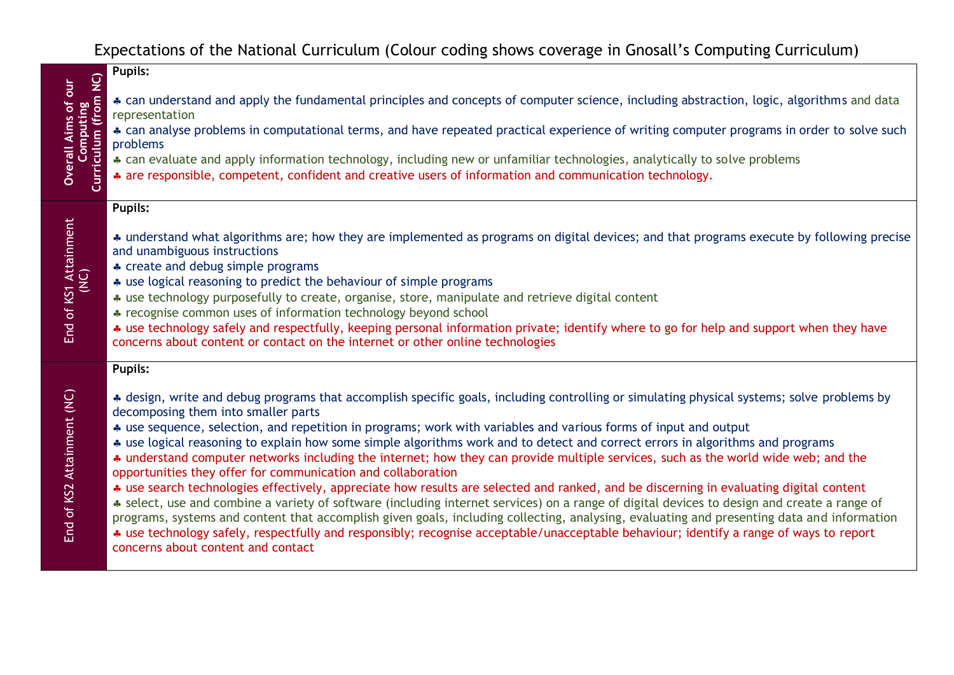## Expectations of the National Curriculum (Colour coding shows coverage in Gnosall's Computing Curriculum)

|                                                                 | <b>Pupils:</b>                                                                                                                                                                                                                                                                                                                                                                                                                                                                                                                                               |
|-----------------------------------------------------------------|--------------------------------------------------------------------------------------------------------------------------------------------------------------------------------------------------------------------------------------------------------------------------------------------------------------------------------------------------------------------------------------------------------------------------------------------------------------------------------------------------------------------------------------------------------------|
| <b>Overall Aims of our</b><br>Computing<br>Curriculum (from NC) | * can understand and apply the fundamental principles and concepts of computer science, including abstraction, logic, algorithms and data<br>representation<br>* can analyse problems in computational terms, and have repeated practical experience of writing computer programs in order to solve such<br>problems<br>* can evaluate and apply information technology, including new or unfamiliar technologies, analytically to solve problems<br>* are responsible, competent, confident and creative users of information and communication technology. |
|                                                                 | <b>Pupils:</b>                                                                                                                                                                                                                                                                                                                                                                                                                                                                                                                                               |
| End of KS1 Attainment<br>(NC)                                   | * understand what algorithms are; how they are implemented as programs on digital devices; and that programs execute by following precise<br>and unambiguous instructions                                                                                                                                                                                                                                                                                                                                                                                    |
|                                                                 | * create and debug simple programs<br>* use logical reasoning to predict the behaviour of simple programs                                                                                                                                                                                                                                                                                                                                                                                                                                                    |
|                                                                 | * use technology purposefully to create, organise, store, manipulate and retrieve digital content                                                                                                                                                                                                                                                                                                                                                                                                                                                            |
|                                                                 | * recognise common uses of information technology beyond school                                                                                                                                                                                                                                                                                                                                                                                                                                                                                              |
|                                                                 | * use technology safely and respectfully, keeping personal information private; identify where to go for help and support when they have<br>concerns about content or contact on the internet or other online technologies                                                                                                                                                                                                                                                                                                                                   |
|                                                                 | <b>Pupils:</b>                                                                                                                                                                                                                                                                                                                                                                                                                                                                                                                                               |
|                                                                 | * design, write and debug programs that accomplish specific goals, including controlling or simulating physical systems; solve problems by<br>decomposing them into smaller parts                                                                                                                                                                                                                                                                                                                                                                            |
|                                                                 | * use sequence, selection, and repetition in programs; work with variables and various forms of input and output                                                                                                                                                                                                                                                                                                                                                                                                                                             |
|                                                                 | * use logical reasoning to explain how some simple algorithms work and to detect and correct errors in algorithms and programs<br>* understand computer networks including the internet; how they can provide multiple services, such as the world wide web; and the                                                                                                                                                                                                                                                                                         |
|                                                                 | opportunities they offer for communication and collaboration                                                                                                                                                                                                                                                                                                                                                                                                                                                                                                 |
|                                                                 | * use search technologies effectively, appreciate how results are selected and ranked, and be discerning in evaluating digital content<br>* select, use and combine a variety of software (including internet services) on a range of digital devices to design and create a range of                                                                                                                                                                                                                                                                        |
| End of KS2 Attainment (NC)                                      | programs, systems and content that accomplish given goals, including collecting, analysing, evaluating and presenting data and information<br>* use technology safely, respectfully and responsibly; recognise acceptable/unacceptable behaviour; identify a range of ways to report<br>concerns about content and contact                                                                                                                                                                                                                                   |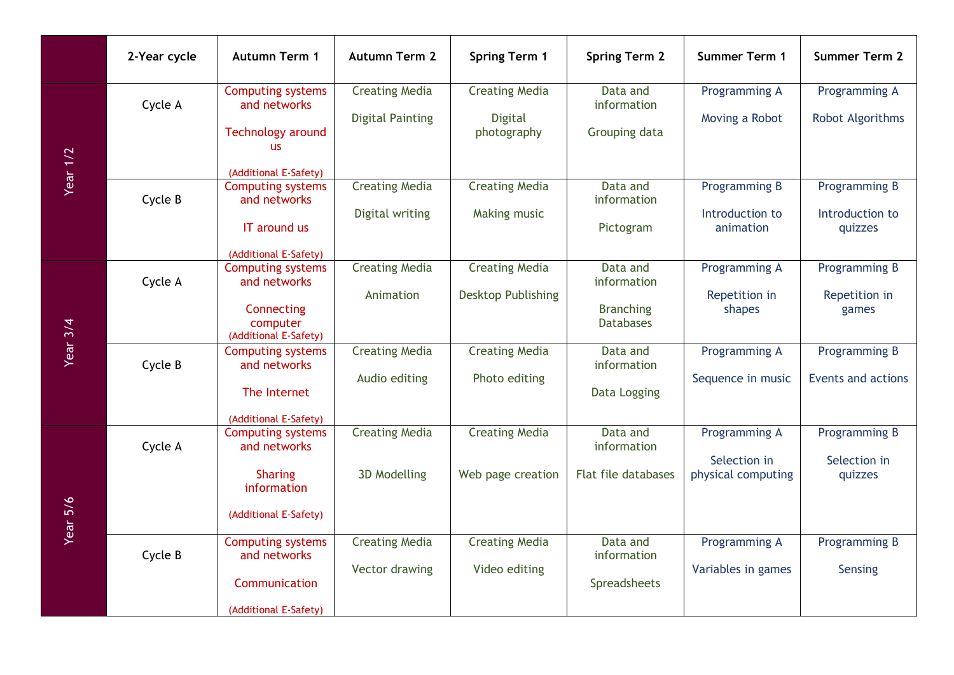|                 | 2-Year cycle | <b>Autumn Term 1</b>                                                                                       | <b>Autumn Term 2</b>                             | <b>Spring Term 1</b>                                   | <b>Spring Term 2</b>                                            | <b>Summer Term 1</b>                                | <b>Summer Term 2</b>                        |
|-----------------|--------------|------------------------------------------------------------------------------------------------------------|--------------------------------------------------|--------------------------------------------------------|-----------------------------------------------------------------|-----------------------------------------------------|---------------------------------------------|
|                 | Cycle A      | <b>Computing systems</b><br>and networks<br><b>Technology around</b><br><b>us</b>                          | <b>Creating Media</b><br><b>Digital Painting</b> | <b>Creating Media</b><br><b>Digital</b><br>photography | Data and<br>information<br>Grouping data                        | Programming A<br>Moving a Robot                     | Programming A<br>Robot Algorithms           |
| <b>Year 1/2</b> | Cycle B      | (Additional E-Safety)<br><b>Computing systems</b><br>and networks<br>IT around us<br>(Additional E-Safety) | <b>Creating Media</b><br>Digital writing         | <b>Creating Media</b><br>Making music                  | Data and<br>information<br>Pictogram                            | Programming B<br>Introduction to<br>animation       | Programming B<br>Introduction to<br>quizzes |
|                 | Cycle A      | <b>Computing systems</b><br>and networks<br>Connecting<br>computer<br>(Additional E-Safety)                | <b>Creating Media</b><br>Animation               | <b>Creating Media</b><br><b>Desktop Publishing</b>     | Data and<br>information<br><b>Branching</b><br><b>Databases</b> | Programming A<br>Repetition in<br>shapes            | Programming B<br>Repetition in<br>games     |
| <b>Year 3/4</b> | Cycle B      | <b>Computing systems</b><br>and networks<br>The Internet<br>(Additional E-Safety)                          | <b>Creating Media</b><br>Audio editing           | <b>Creating Media</b><br>Photo editing                 | Data and<br>information<br>Data Logging                         | Programming A<br>Sequence in music                  | Programming B<br><b>Events and actions</b>  |
| Year 5/6        | Cycle A      | <b>Computing systems</b><br>and networks<br><b>Sharing</b><br>information<br>(Additional E-Safety)         | <b>Creating Media</b><br>3D Modelling            | <b>Creating Media</b><br>Web page creation             | Data and<br>information<br>Flat file databases                  | Programming A<br>Selection in<br>physical computing | Programming B<br>Selection in<br>quizzes    |
|                 | Cycle B      | <b>Computing systems</b><br>and networks<br>Communication<br>(Additional E-Safety)                         | <b>Creating Media</b><br>Vector drawing          | <b>Creating Media</b><br>Video editing                 | Data and<br>information<br>Spreadsheets                         | Programming A<br>Variables in games                 | <b>Programming B</b><br>Sensing             |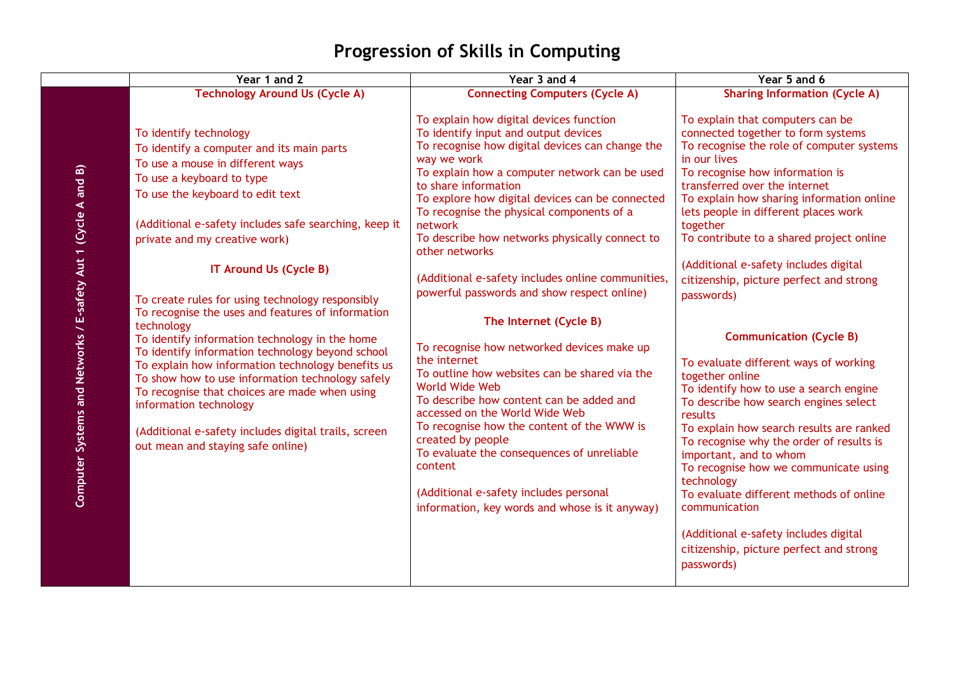## **Progression of Skills in Computing**

|                                                                | Year 1 and 2                                                                                                                                                                                                                                                                                                                                                                                                                                           | Year 3 and 4                                                                                                                                                                                                                                                                                                                                                                                                                                                  | Year 5 and 6                                                                                                                                                                                                                                                                                                                                                                                                                                                                                                                    |
|----------------------------------------------------------------|--------------------------------------------------------------------------------------------------------------------------------------------------------------------------------------------------------------------------------------------------------------------------------------------------------------------------------------------------------------------------------------------------------------------------------------------------------|---------------------------------------------------------------------------------------------------------------------------------------------------------------------------------------------------------------------------------------------------------------------------------------------------------------------------------------------------------------------------------------------------------------------------------------------------------------|---------------------------------------------------------------------------------------------------------------------------------------------------------------------------------------------------------------------------------------------------------------------------------------------------------------------------------------------------------------------------------------------------------------------------------------------------------------------------------------------------------------------------------|
|                                                                | <b>Technology Around Us (Cycle A)</b>                                                                                                                                                                                                                                                                                                                                                                                                                  | <b>Connecting Computers (Cycle A)</b>                                                                                                                                                                                                                                                                                                                                                                                                                         | <b>Sharing Information (Cycle A)</b>                                                                                                                                                                                                                                                                                                                                                                                                                                                                                            |
|                                                                | To identify technology<br>To identify a computer and its main parts<br>To use a mouse in different ways<br>To use a keyboard to type<br>To use the keyboard to edit text<br>(Additional e-safety includes safe searching, keep it<br>private and my creative work)                                                                                                                                                                                     | To explain how digital devices function<br>To identify input and output devices<br>To recognise how digital devices can change the<br>way we work<br>To explain how a computer network can be used<br>to share information<br>To explore how digital devices can be connected<br>To recognise the physical components of a<br>network<br>To describe how networks physically connect to<br>other networks                                                     | To explain that computers can be<br>connected together to form systems<br>To recognise the role of computer systems<br>in our lives<br>To recognise how information is<br>transferred over the internet<br>To explain how sharing information online<br>lets people in different places work<br>together<br>To contribute to a shared project online                                                                                                                                                                            |
|                                                                | IT Around Us (Cycle B)<br>To create rules for using technology responsibly                                                                                                                                                                                                                                                                                                                                                                             | (Additional e-safety includes online communities,<br>powerful passwords and show respect online)                                                                                                                                                                                                                                                                                                                                                              | (Additional e-safety includes digital<br>citizenship, picture perfect and strong<br>passwords)                                                                                                                                                                                                                                                                                                                                                                                                                                  |
| Computer Systems and Networks / E-safety Aut 1 (Cycle A and B) | To recognise the uses and features of information<br>technology<br>To identify information technology in the home<br>To identify information technology beyond school<br>To explain how information technology benefits us<br>To show how to use information technology safely<br>To recognise that choices are made when using<br>information technology<br>(Additional e-safety includes digital trails, screen<br>out mean and staying safe online) | The Internet (Cycle B)<br>To recognise how networked devices make up<br>the internet<br>To outline how websites can be shared via the<br>World Wide Web<br>To describe how content can be added and<br>accessed on the World Wide Web<br>To recognise how the content of the WWW is<br>created by people<br>To evaluate the consequences of unreliable<br>content<br>(Additional e-safety includes personal<br>information, key words and whose is it anyway) | <b>Communication (Cycle B)</b><br>To evaluate different ways of working<br>together online<br>To identify how to use a search engine<br>To describe how search engines select<br>results<br>To explain how search results are ranked<br>To recognise why the order of results is<br>important, and to whom<br>To recognise how we communicate using<br>technology<br>To evaluate different methods of online<br>communication<br>(Additional e-safety includes digital<br>citizenship, picture perfect and strong<br>passwords) |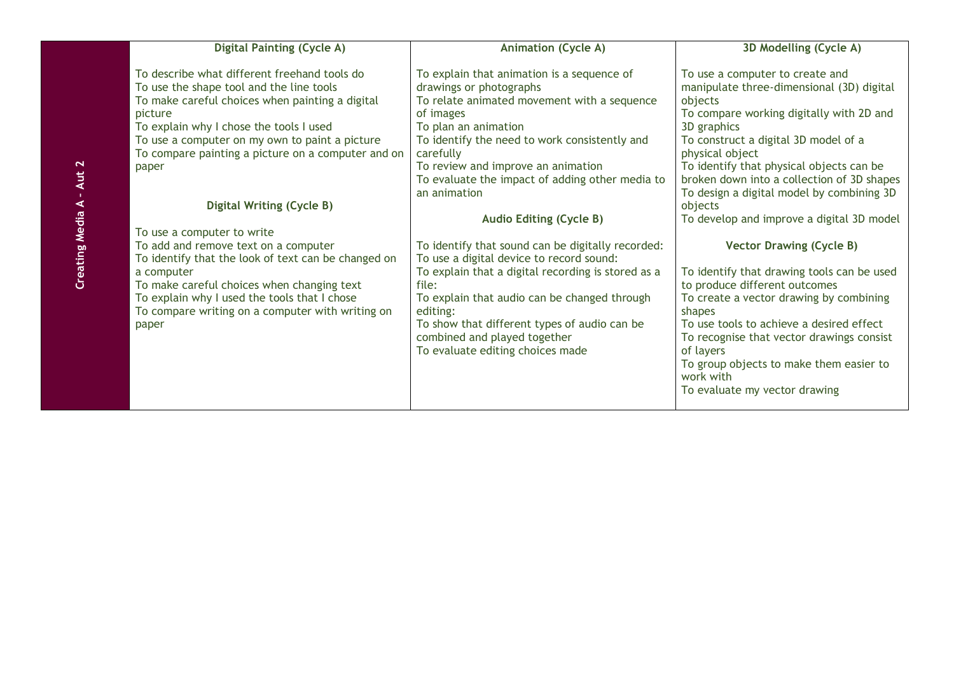| <b>Digital Painting (Cycle A)</b>                                                                                                                                                                                                                                                                                                                      | <b>Animation (Cycle A)</b>                                                                                                                                                                                                                                                                                                       | 3D Modelling (Cycle A)                                                                                                                                                                                                                                                                                                                                          |
|--------------------------------------------------------------------------------------------------------------------------------------------------------------------------------------------------------------------------------------------------------------------------------------------------------------------------------------------------------|----------------------------------------------------------------------------------------------------------------------------------------------------------------------------------------------------------------------------------------------------------------------------------------------------------------------------------|-----------------------------------------------------------------------------------------------------------------------------------------------------------------------------------------------------------------------------------------------------------------------------------------------------------------------------------------------------------------|
| To describe what different freehand tools do<br>To use the shape tool and the line tools<br>To make careful choices when painting a digital<br>picture<br>To explain why I chose the tools I used<br>To use a computer on my own to paint a picture<br>To compare painting a picture on a computer and on<br>paper<br><b>Digital Writing (Cycle B)</b> | To explain that animation is a sequence of<br>drawings or photographs<br>To relate animated movement with a sequence<br>of images<br>To plan an animation<br>To identify the need to work consistently and<br>carefully<br>To review and improve an animation<br>To evaluate the impact of adding other media to<br>an animation | To use a computer to create and<br>manipulate three-dimensional (3D) digital<br>objects<br>To compare working digitally with 2D and<br>3D graphics<br>To construct a digital 3D model of a<br>physical object<br>To identify that physical objects can be<br>broken down into a collection of 3D shapes<br>To design a digital model by combining 3D<br>objects |
|                                                                                                                                                                                                                                                                                                                                                        | <b>Audio Editing (Cycle B)</b>                                                                                                                                                                                                                                                                                                   | To develop and improve a digital 3D model                                                                                                                                                                                                                                                                                                                       |
| To use a computer to write                                                                                                                                                                                                                                                                                                                             |                                                                                                                                                                                                                                                                                                                                  |                                                                                                                                                                                                                                                                                                                                                                 |
| To add and remove text on a computer<br>To identify that the look of text can be changed on                                                                                                                                                                                                                                                            | To identify that sound can be digitally recorded:<br>To use a digital device to record sound:                                                                                                                                                                                                                                    | <b>Vector Drawing (Cycle B)</b>                                                                                                                                                                                                                                                                                                                                 |
| a computer<br>To make careful choices when changing text<br>To explain why I used the tools that I chose<br>To compare writing on a computer with writing on<br>paper                                                                                                                                                                                  | To explain that a digital recording is stored as a<br>file:<br>To explain that audio can be changed through<br>editing:<br>To show that different types of audio can be<br>combined and played together<br>To evaluate editing choices made                                                                                      | To identify that drawing tools can be used<br>to produce different outcomes<br>To create a vector drawing by combining<br>shapes<br>To use tools to achieve a desired effect<br>To recognise that vector drawings consist<br>of layers<br>To group objects to make them easier to<br>work with<br>To evaluate my vector drawing                                 |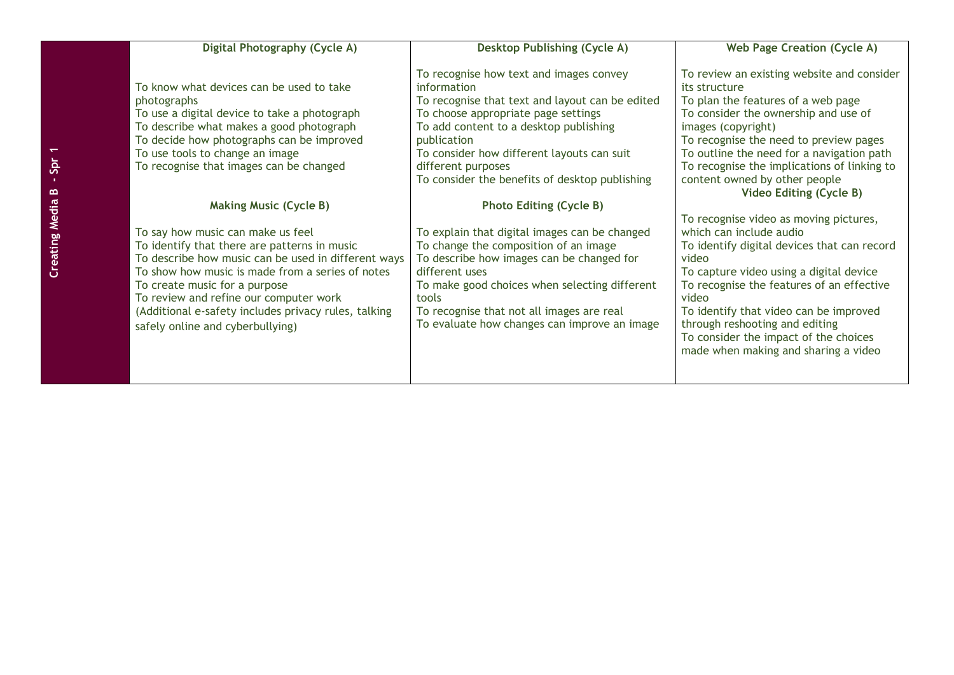| Digital Photography (Cycle A)                                                                                                                                                                                                                                                                                                                                       | <b>Desktop Publishing (Cycle A)</b>                                                                                                                                                                                                                                                                                             | <b>Web Page Creation (Cycle A)</b>                                                                                                                                                                                                                                                                                                                                                      |
|---------------------------------------------------------------------------------------------------------------------------------------------------------------------------------------------------------------------------------------------------------------------------------------------------------------------------------------------------------------------|---------------------------------------------------------------------------------------------------------------------------------------------------------------------------------------------------------------------------------------------------------------------------------------------------------------------------------|-----------------------------------------------------------------------------------------------------------------------------------------------------------------------------------------------------------------------------------------------------------------------------------------------------------------------------------------------------------------------------------------|
| To know what devices can be used to take<br>photographs<br>To use a digital device to take a photograph<br>To describe what makes a good photograph<br>To decide how photographs can be improved<br>To use tools to change an image<br>To recognise that images can be changed                                                                                      | To recognise how text and images convey<br>information<br>To recognise that text and layout can be edited<br>To choose appropriate page settings<br>To add content to a desktop publishing<br>publication<br>To consider how different layouts can suit<br>different purposes<br>To consider the benefits of desktop publishing | To review an existing website and consider<br>its structure<br>To plan the features of a web page<br>To consider the ownership and use of<br>images (copyright)<br>To recognise the need to preview pages<br>To outline the need for a navigation path<br>To recognise the implications of linking to<br>content owned by other people                                                  |
| <b>Making Music (Cycle B)</b>                                                                                                                                                                                                                                                                                                                                       | <b>Photo Editing (Cycle B)</b>                                                                                                                                                                                                                                                                                                  | <b>Video Editing (Cycle B)</b>                                                                                                                                                                                                                                                                                                                                                          |
| To say how music can make us feel<br>To identify that there are patterns in music<br>To describe how music can be used in different ways<br>To show how music is made from a series of notes<br>To create music for a purpose<br>To review and refine our computer work<br>(Additional e-safety includes privacy rules, talking<br>safely online and cyberbullying) | To explain that digital images can be changed<br>To change the composition of an image<br>To describe how images can be changed for<br>different uses<br>To make good choices when selecting different<br>tools<br>To recognise that not all images are real<br>To evaluate how changes can improve an image                    | To recognise video as moving pictures,<br>which can include audio<br>To identify digital devices that can record<br>video<br>To capture video using a digital device<br>To recognise the features of an effective<br>video<br>To identify that video can be improved<br>through reshooting and editing<br>To consider the impact of the choices<br>made when making and sharing a video |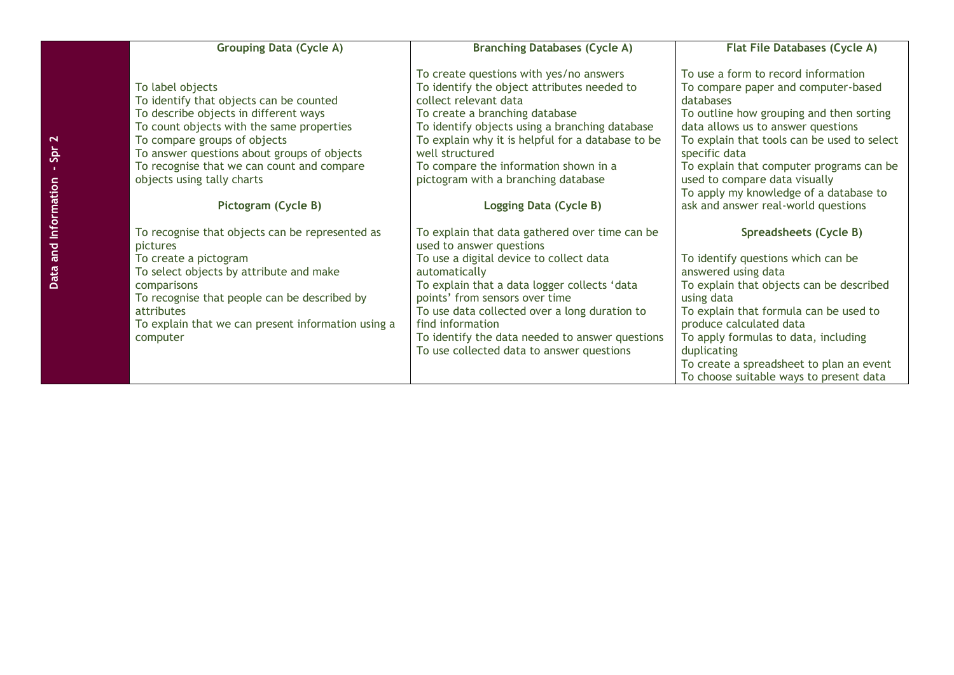| <b>Grouping Data (Cycle A)</b>                                                                                                                                                                                                                                                                                                      | <b>Branching Databases (Cycle A)</b>                                                                                                                                                                                                                                                                                                                                                          | <b>Flat File Databases (Cycle A)</b>                                                                                                                                                                                                                                                                                                                                                                    |
|-------------------------------------------------------------------------------------------------------------------------------------------------------------------------------------------------------------------------------------------------------------------------------------------------------------------------------------|-----------------------------------------------------------------------------------------------------------------------------------------------------------------------------------------------------------------------------------------------------------------------------------------------------------------------------------------------------------------------------------------------|---------------------------------------------------------------------------------------------------------------------------------------------------------------------------------------------------------------------------------------------------------------------------------------------------------------------------------------------------------------------------------------------------------|
| To label objects<br>To identify that objects can be counted<br>To describe objects in different ways<br>To count objects with the same properties<br>To compare groups of objects<br>To answer questions about groups of objects<br>To recognise that we can count and compare<br>objects using tally charts<br>Pictogram (Cycle B) | To create questions with yes/no answers<br>To identify the object attributes needed to<br>collect relevant data<br>To create a branching database<br>To identify objects using a branching database<br>To explain why it is helpful for a database to be<br>well structured<br>To compare the information shown in a<br>pictogram with a branching database<br>Logging Data (Cycle B)         | To use a form to record information<br>To compare paper and computer-based<br>databases<br>To outline how grouping and then sorting<br>data allows us to answer questions<br>To explain that tools can be used to select<br>specific data<br>To explain that computer programs can be<br>used to compare data visually<br>To apply my knowledge of a database to<br>ask and answer real-world questions |
| To recognise that objects can be represented as<br>pictures<br>To create a pictogram<br>To select objects by attribute and make<br>comparisons<br>To recognise that people can be described by<br>attributes<br>To explain that we can present information using a<br>computer                                                      | To explain that data gathered over time can be<br>used to answer questions<br>To use a digital device to collect data<br>automatically<br>To explain that a data logger collects 'data<br>points' from sensors over time<br>To use data collected over a long duration to<br>find information<br>To identify the data needed to answer questions<br>To use collected data to answer questions | Spreadsheets (Cycle B)<br>To identify questions which can be<br>answered using data<br>To explain that objects can be described<br>using data<br>To explain that formula can be used to<br>produce calculated data<br>To apply formulas to data, including<br>duplicating<br>To create a spreadsheet to plan an event<br>To choose suitable ways to present data                                        |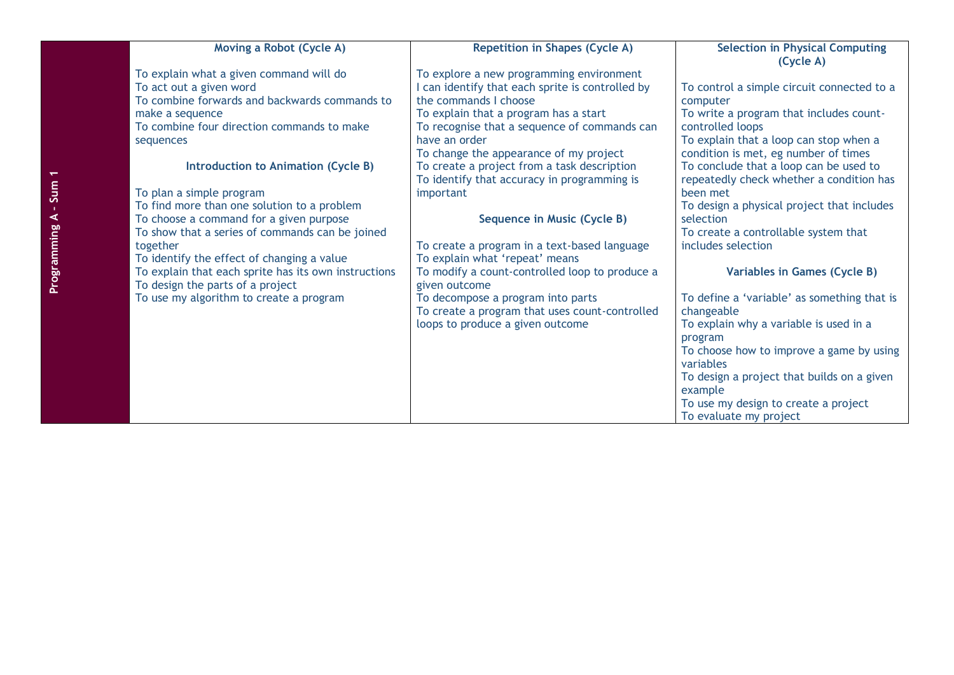|                                          | <b>Moving a Robot (Cycle A)</b>                                                                                                                                                                                                                                                                                                                                                                                                                                                                                                                                        | <b>Repetition in Shapes (Cycle A)</b>                                                                                                                                                                                                                                                                                                                                                                                                                                                                                                                                                                                                                                                               | <b>Selection in Physical Computing</b><br>(Cycle A)                                                                                                                                                                                                                                                                                                                                                                                                                                                                                                                                                                                                                                                                                                                      |
|------------------------------------------|------------------------------------------------------------------------------------------------------------------------------------------------------------------------------------------------------------------------------------------------------------------------------------------------------------------------------------------------------------------------------------------------------------------------------------------------------------------------------------------------------------------------------------------------------------------------|-----------------------------------------------------------------------------------------------------------------------------------------------------------------------------------------------------------------------------------------------------------------------------------------------------------------------------------------------------------------------------------------------------------------------------------------------------------------------------------------------------------------------------------------------------------------------------------------------------------------------------------------------------------------------------------------------------|--------------------------------------------------------------------------------------------------------------------------------------------------------------------------------------------------------------------------------------------------------------------------------------------------------------------------------------------------------------------------------------------------------------------------------------------------------------------------------------------------------------------------------------------------------------------------------------------------------------------------------------------------------------------------------------------------------------------------------------------------------------------------|
| make a sequence<br>sequences<br>together | To explain what a given command will do<br>To act out a given word<br>To combine forwards and backwards commands to<br>To combine four direction commands to make<br>Introduction to Animation (Cycle B)<br>To plan a simple program<br>To find more than one solution to a problem<br>To choose a command for a given purpose<br>To show that a series of commands can be joined<br>To identify the effect of changing a value<br>To explain that each sprite has its own instructions<br>To design the parts of a project<br>To use my algorithm to create a program | To explore a new programming environment<br>I can identify that each sprite is controlled by<br>the commands I choose<br>To explain that a program has a start<br>To recognise that a sequence of commands can<br>have an order<br>To change the appearance of my project<br>To create a project from a task description<br>To identify that accuracy in programming is<br>important<br>Sequence in Music (Cycle B)<br>To create a program in a text-based language<br>To explain what 'repeat' means<br>To modify a count-controlled loop to produce a<br>given outcome<br>To decompose a program into parts<br>To create a program that uses count-controlled<br>loops to produce a given outcome | To control a simple circuit connected to a<br>computer<br>To write a program that includes count-<br>controlled loops<br>To explain that a loop can stop when a<br>condition is met, eg number of times<br>To conclude that a loop can be used to<br>repeatedly check whether a condition has<br>been met<br>To design a physical project that includes<br>selection<br>To create a controllable system that<br>includes selection<br>Variables in Games (Cycle B)<br>To define a 'variable' as something that is<br>changeable<br>To explain why a variable is used in a<br>program<br>To choose how to improve a game by using<br>variables<br>To design a project that builds on a given<br>example<br>To use my design to create a project<br>To evaluate my project |